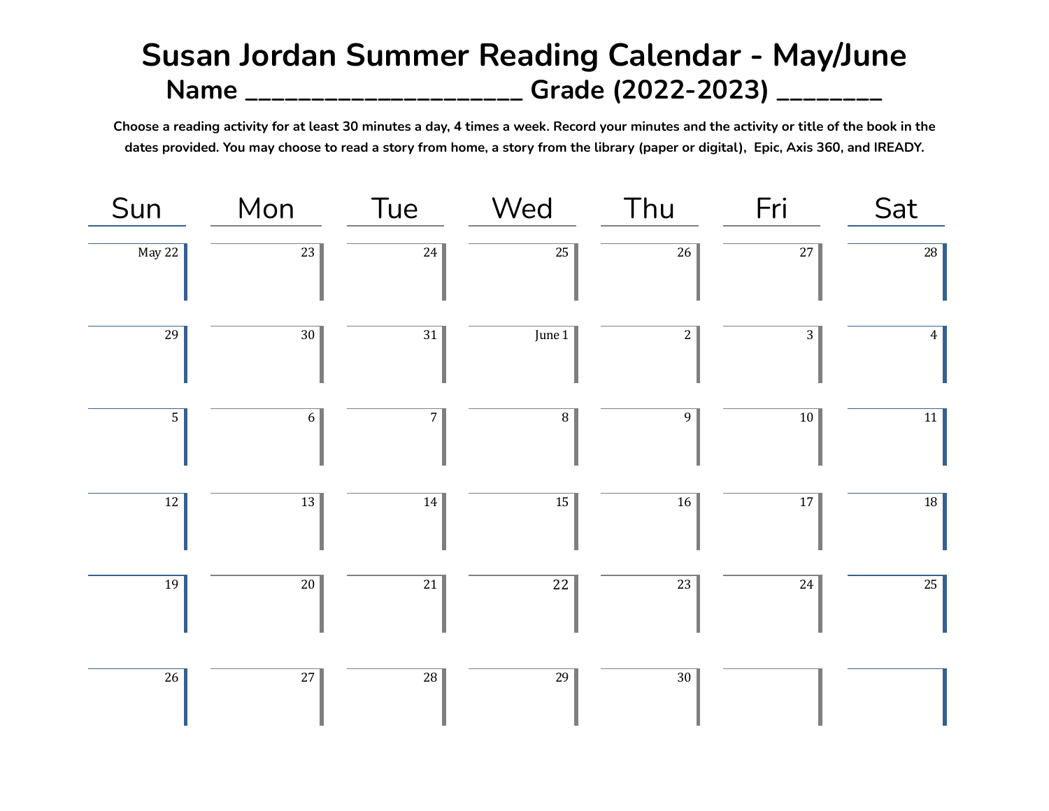## **Susan Jordan Summer Reading Calendar - May/June Name \_\_\_\_\_\_\_\_\_\_\_\_\_\_\_\_\_\_\_\_\_ Grade (2022-2023) \_\_\_\_\_\_\_\_**

Choose a reading activity for at least 30 minutes a day, 4 times a week. Record your minutes and the activity or title of the book in the dates provided. You may choose to read a story from home, a story from the library (paper or digital), Epic, Axis 360, and IREADY.